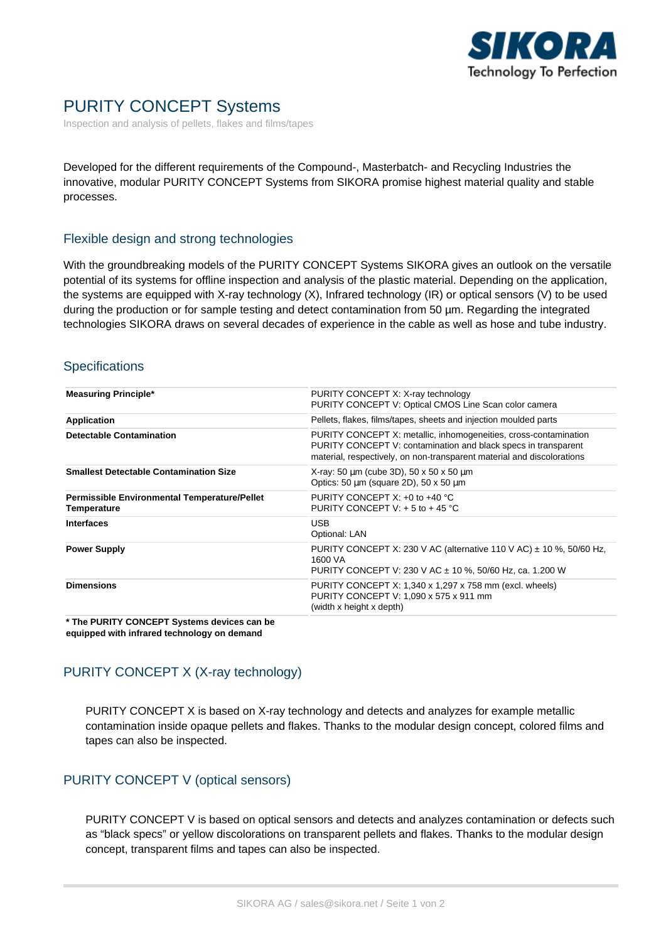

# PURITY CONCEPT Systems

Inspection and analysis of pellets, flakes and films/tapes

Developed for the different requirements of the Compound-, Masterbatch- and Recycling Industries the innovative, modular PURITY CONCEPT Systems from SIKORA promise highest material quality and stable processes.

#### Flexible design and strong technologies

With the groundbreaking models of the PURITY CONCEPT Systems SIKORA gives an outlook on the versatile potential of its systems for offline inspection and analysis of the plastic material. Depending on the application, the systems are equipped with X-ray technology (X), Infrared technology (IR) or optical sensors (V) to be used during the production or for sample testing and detect contamination from 50 µm. Regarding the integrated technologies SIKORA draws on several decades of experience in the cable as well as hose and tube industry.

#### **Specifications**

| <b>Measuring Principle*</b>                                        | PURITY CONCEPT X: X-ray technology<br>PURITY CONCEPT V: Optical CMOS Line Scan color camera                                                                                                                  |
|--------------------------------------------------------------------|--------------------------------------------------------------------------------------------------------------------------------------------------------------------------------------------------------------|
| Application                                                        | Pellets, flakes, films/tapes, sheets and injection moulded parts                                                                                                                                             |
| <b>Detectable Contamination</b>                                    | PURITY CONCEPT X: metallic, inhomogeneities, cross-contamination<br>PURITY CONCEPT V: contamination and black specs in transparent<br>material, respectively, on non-transparent material and discolorations |
| <b>Smallest Detectable Contamination Size</b>                      | X-ray: 50 $\mu$ m (cube 3D), 50 x 50 x 50 $\mu$ m<br>Optics: 50 $\mu$ m (square 2D), 50 x 50 $\mu$ m                                                                                                         |
| <b>Permissible Environmental Temperature/Pellet</b><br>Temperature | PURITY CONCEPT $X: +0$ to $+40$ °C<br>PURITY CONCEPT V: $+5$ to $+45$ °C                                                                                                                                     |
| <b>Interfaces</b>                                                  | <b>USB</b><br>Optional: LAN                                                                                                                                                                                  |
| <b>Power Supply</b>                                                | PURITY CONCEPT X: 230 V AC (alternative 110 V AC) $\pm$ 10 %, 50/60 Hz,<br>1600 VA<br>PURITY CONCEPT V: 230 V AC ± 10 %, 50/60 Hz, ca. 1.200 W                                                               |
| <b>Dimensions</b>                                                  | PURITY CONCEPT X: 1,340 x 1,297 x 758 mm (excl. wheels)<br>PURITY CONCEPT V: 1,090 x 575 x 911 mm<br>(width x height x depth)                                                                                |
|                                                                    |                                                                                                                                                                                                              |

**\* The PURITY CONCEPT Systems devices can be equipped with infrared technology on demand**

## PURITY CONCEPT X (X-ray technology)

PURITY CONCEPT X is based on X-ray technology and detects and analyzes for example metallic contamination inside opaque pellets and flakes. Thanks to the modular design concept, colored films and tapes can also be inspected.

### PURITY CONCEPT V (optical sensors)

PURITY CONCEPT V is based on optical sensors and detects and analyzes contamination or defects such as "black specs" or yellow discolorations on transparent pellets and flakes. Thanks to the modular design concept, transparent films and tapes can also be inspected.